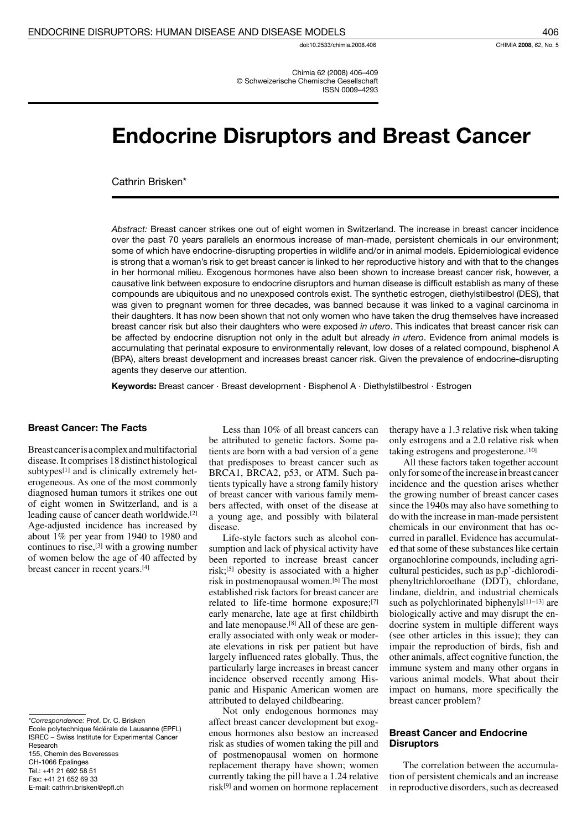Chimia 62 (2008) 406-409 © Schweizerische Chemische Gesellschaft **ISSN 0009-4293** 

# **Endocrine Disruptors and Breast Cancer**

Cathrin Brisken\*

Abstract: Breast cancer strikes one out of eight women in Switzerland. The increase in breast cancer incidence over the past 70 years parallels an enormous increase of man-made, persistent chemicals in our environment; some of which have endocrine-disrupting properties in wildlife and/or in animal models. Epidemiological evidence is strong that a woman's risk to get breast cancer is linked to her reproductive history and with that to the changes in her hormonal milieu. Exogenous hormones have also been shown to increase breast cancer risk, however, a causative link between exposure to endocrine disruptors and human disease is difficult establish as many of these compounds are ubiquitous and no unexposed controls exist. The synthetic estrogen, diethylstilbestrol (DES), that was given to pregnant women for three decades, was banned because it was linked to a vaginal carcinoma in their daughters. It has now been shown that not only women who have taken the drug themselves have increased breast cancer risk but also their daughters who were exposed in utero. This indicates that breast cancer risk can be affected by endocrine disruption not only in the adult but already in utero. Evidence from animal models is accumulating that perinatal exposure to environmentally relevant, low doses of a related compound, bisphenol A (BPA), alters breast development and increases breast cancer risk. Given the prevalence of endocrine-disrupting agents they deserve our attention.

Keywords: Breast cancer · Breast development · Bisphenol A · Diethylstilbestrol · Estrogen

### **Breast Cancer: The Facts**

Breast cancer is a complex and multifactorial disease. It comprises 18 distinct histological subtypes<sup>[1]</sup> and is clinically extremely heterogeneous. As one of the most commonly diagnosed human tumors it strikes one out of eight women in Switzerland, and is a leading cause of cancer death worldwide.[2] Age-adjusted incidence has increased by about 1% per year from 1940 to 1980 and continues to rise,<sup>[3]</sup> with a growing number of women below the age of 40 affected by breast cancer in recent years.<sup>[4]</sup>

**Research** 155, Chemin des Boveresses CH-1066 Epalinges Tel.: +41 21 692 58 51 Fax: +41 21 652 69 33 E-mail: cathrin.brisken@epfl.ch

Less than 10% of all breast cancers can be attributed to genetic factors. Some patients are born with a bad version of a gene that predisposes to breast cancer such as BRCA1, BRCA2, p53, or ATM. Such patients typically have a strong family history of breast cancer with various family members affected, with onset of the disease at a young age, and possibly with bilateral disease.

Life-style factors such as alcohol consumption and lack of physical activity have been reported to increase breast cancer risk;<sup>[5]</sup> obesity is associated with a higher risk in postmenopausal women.<sup>[6]</sup> The most established risk factors for breast cancer are related to life-time hormone exposure;[7] early menarche, late age at first childbirth and late menopause.<sup>[8]</sup> All of these are generally associated with only weak or moderate elevations in risk per patient but have largely influenced rates globally. Thus, the particularly large increases in breast cancer incidence observed recently among Hispanic and Hispanic American women are attributed to delayed childbearing.

Not only endogenous hormones may affect breast cancer development but exogenous hormones also bestow an increased risk as studies of women taking the pill and of postmenopausal women on hormone replacement therapy have shown; women currently taking the pill have a 1.24 relative risk<sup>[9]</sup> and women on hormone replacement therapy have a 1.3 relative risk when taking only estrogens and a 2.0 relative risk when taking estrogens and progesterone.[10]

All these factors taken together account only for some of the increase in breast cancer incidence and the question arises whether the growing number of breast cancer cases since the 1940s may also have something to do with the increase in man-made persistent chemicals in our environment that has occurred in parallel. Evidence has accumulated that some of these substances like certain organochlorine compounds, including agricultural pesticides, such as p,p'-dichlorodiphenyltrichloroethane (DDT), chlordane, lindane, dieldrin, and industrial chemicals such as polychlorinated biphenyls[11-13] are biologically active and may disrupt the endocrine system in multiple different ways (see other articles in this issue); they can impair the reproduction of birds, fish and other animals, affect cognitive function, the immune system and many other organs in various animal models. What about their impact on humans, more specifically the breast cancer problem?

#### **Breast Cancer and Endocrine Disruptors**

The correlation between the accumulation of persistent chemicals and an increase in reproductive disorders, such as decreased

<sup>\*</sup>Correspondence: Prof. Dr. C. Brisken Ecole polytechnique fédérale de Lausanne (EPFL) ISREC - Swiss Institute for Experimental Cancer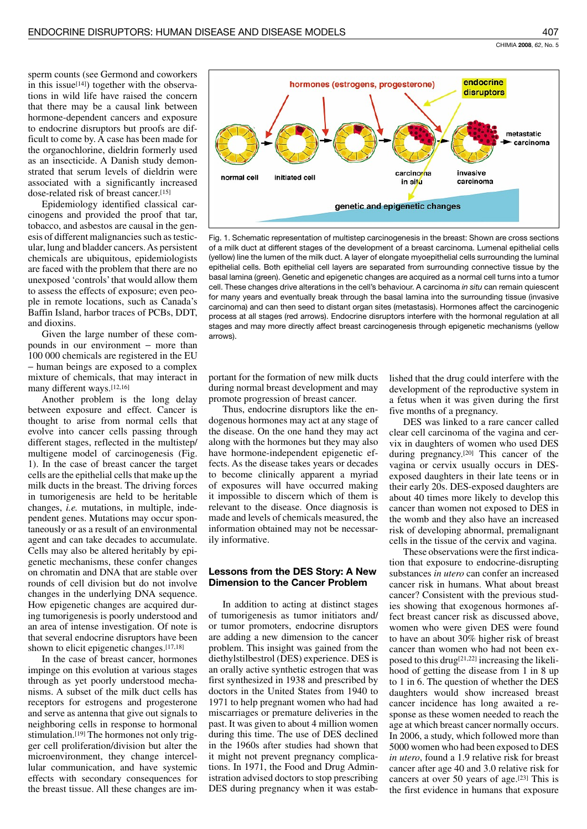sperm counts (see Germond and coworkers in this issue<sup>[14]</sup>) together with the observations in wild life have raised the concern that there may be a causal link between hormone-dependent cancers and exposure to endocrine disruptors but proofs are difficult to come by. A case has been made for the organochlorine, dieldrin formerly used as an insecticide. A Danish study demonstrated that serum levels of dieldrin were associated with a significantly increased dose-related risk of breast cancer.[15]

Epidemiology identified classical carcinogens and provided the proof that tar, tobacco, and asbestos are causal in the genesis of different malignancies such as testicular, lung and bladder cancers. As persistent chemicals are ubiquitous, epidemiologists are faced with the problem that there are no unexposed 'controls' that would allow them to assess the effects of exposure; even people in remote locations, such as Canada's Baffin Island, harbor traces of PCBs, DDT. and dioxins.

Given the large number of these compounds in our environment – more than 100 000 chemicals are registered in the EU - human beings are exposed to a complex mixture of chemicals, that may interact in many different ways.[12,16]

Another problem is the long delay between exposure and effect. Cancer is thought to arise from normal cells that evolve into cancer cells passing through different stages, reflected in the multistep/ multigene model of carcinogenesis (Fig. 1). In the case of breast cancer the target cells are the epithelial cells that make up the milk ducts in the breast. The driving forces in tumorigenesis are held to be heritable changes, *i.e.* mutations, in multiple, independent genes. Mutations may occur spontaneously or as a result of an environmental agent and can take decades to accumulate. Cells may also be altered heritably by epigenetic mechanisms, these confer changes on chromatin and DNA that are stable over rounds of cell division but do not involve changes in the underlying DNA sequence. How epigenetic changes are acquired during tumorigenesis is poorly understood and an area of intense investigation. Of note is that several endocrine disruptors have been shown to elicit epigenetic changes.[17,18]

In the case of breast cancer, hormones impinge on this evolution at various stages through as yet poorly understood mechanisms. A subset of the milk duct cells has receptors for estrogens and progesterone and serve as antenna that give out signals to neighboring cells in response to hormonal stimulation.<sup>[19]</sup> The hormones not only trigger cell proliferation/division but alter the microenvironment, they change intercellular communication, and have systemic effects with secondary consequences for the breast tissue. All these changes are im-



Fig. 1. Schematic representation of multistep carcinogenesis in the breast: Shown are cross sections of a milk duct at different stages of the development of a breast carcinoma. Lumenal epithelial cells (yellow) line the lumen of the milk duct. A layer of elongate myoepithelial cells surrounding the luminal epithelial cells. Both epithelial cell layers are separated from surrounding connective tissue by the basal lamina (green). Genetic and epigenetic changes are acquired as a normal cell turns into a tumor cell. These changes drive alterations in the cell's behaviour. A carcinoma in situ can remain quiescent for many years and eventually break through the basal lamina into the surrounding tissue (invasive carcinoma) and can then seed to distant organ sites (metastasis). Hormones affect the carcinogenic process at all stages (red arrows). Endocrine disruptors interfere with the hormonal regulation at all stages and may more directly affect breast carcinogenesis through epigenetic mechanisms (yellow arrows).

portant for the formation of new milk ducts during normal breast development and may promote progression of breast cancer.

Thus, endocrine disruptors like the endogenous hormones may act at any stage of the disease. On the one hand they may act along with the hormones but they may also have hormone-independent epigenetic effects. As the disease takes years or decades to become clinically apparent a myriad of exposures will have occurred making it impossible to discern which of them is relevant to the disease. Once diagnosis is made and levels of chemicals measured, the information obtained may not be necessarily informative.

#### **Lessons from the DES Story: A New Dimension to the Cancer Problem**

In addition to acting at distinct stages of tumorigenesis as tumor initiators and/ or tumor promoters, endocrine disruptors are adding a new dimension to the cancer problem. This insight was gained from the diethylstilbestrol (DES) experience. DES is an orally active synthetic estrogen that was first synthesized in 1938 and prescribed by doctors in the United States from 1940 to 1971 to help pregnant women who had had miscarriages or premature deliveries in the past. It was given to about 4 million women during this time. The use of DES declined in the 1960s after studies had shown that it might not prevent pregnancy complications. In 1971, the Food and Drug Administration advised doctors to stop prescribing DES during pregnancy when it was established that the drug could interfere with the development of the reproductive system in a fetus when it was given during the first five months of a pregnancy.

DES was linked to a rare cancer called clear cell carcinoma of the vagina and cervix in daughters of women who used DES during pregnancy.<sup>[20]</sup> This cancer of the vagina or cervix usually occurs in DESexposed daughters in their late teens or in their early 20s. DES-exposed daughters are about 40 times more likely to develop this cancer than women not exposed to DES in the womb and they also have an increased risk of developing abnormal, premalignant cells in the tissue of the cervix and vagina.

These observations were the first indication that exposure to endocrine-disrupting substances in utero can confer an increased cancer risk in humans. What about breast cancer? Consistent with the previous studies showing that exogenous hormones affect breast cancer risk as discussed above, women who were given DES were found to have an about 30% higher risk of breast cancer than women who had not been exposed to this drug<sup>[21,22]</sup> increasing the likelihood of getting the disease from 1 in 8 up to 1 in 6. The question of whether the DES daughters would show increased breast cancer incidence has long awaited a response as these women needed to reach the age at which breast cancer normally occurs. In 2006, a study, which followed more than 5000 women who had been exposed to DES *in utero*, found a 1.9 relative risk for breast cancer after age 40 and 3.0 relative risk for cancers at over 50 years of age. $[23]$  This is the first evidence in humans that exposure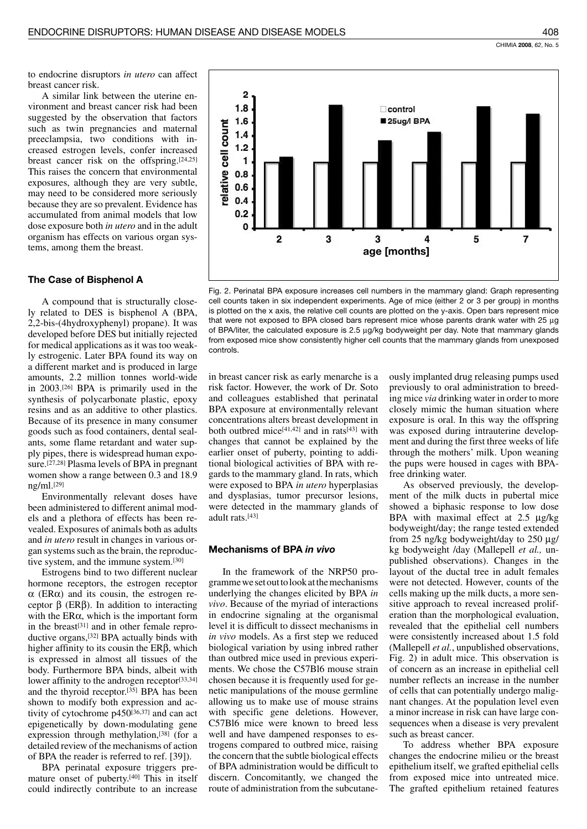to endocrine disruptors in utero can affect breast cancer risk.

A similar link between the uterine environment and breast cancer risk had been suggested by the observation that factors such as twin pregnancies and maternal preeclampsia, two conditions with increased estrogen levels, confer increased breast cancer risk on the offspring.[24,25] This raises the concern that environmental exposures, although they are very subtle, may need to be considered more seriously because they are so prevalent. Evidence has accumulated from animal models that low dose exposure both in utero and in the adult organism has effects on various organ systems, among them the breast.

## The Case of Bisphenol A

A compound that is structurally closely related to DES is bisphenol A (BPA, 2,2-bis-(4hydroxyphenyl) propane). It was developed before DES but initially rejected for medical applications as it was too weakly estrogenic. Later BPA found its way on a different market and is produced in large amounts, 2.2 million tonnes world-wide in 2003.<sup>[26]</sup> BPA is primarily used in the synthesis of polycarbonate plastic, epoxy resins and as an additive to other plastics. Because of its presence in many consumer goods such as food containers, dental sealants, some flame retardant and water supply pipes, there is widespread human exposure.<sup>[27,28]</sup> Plasma levels of BPA in pregnant women show a range between 0.3 and 18.9  $ng/ml$ .[29]

Environmentally relevant doses have been administered to different animal models and a plethora of effects has been revealed. Exposures of animals both as adults and *in utero* result in changes in various organ systems such as the brain, the reproductive system, and the immune system.[30]

Estrogens bind to two different nuclear hormone receptors, the estrogen receptor  $\alpha$  (ER $\alpha$ ) and its cousin, the estrogen receptor  $\beta$  (ER $\beta$ ). In addition to interacting with the  $ER\alpha$ , which is the important form in the breast<sup>[31]</sup> and in other female reproductive organs, <a>[32]</a> BPA actually binds with higher affinity to its cousin the  $ER\beta$ , which is expressed in almost all tissues of the body. Furthermore BPA binds, albeit with lower affinity to the androgen receptor<sup>[33,34]</sup> and the thyroid receptor.[35] BPA has been shown to modify both expression and activity of cytochrome p450[36,37] and can act epigenetically by down-modulating gene expression through methylation,<sup>[38]</sup> (for a detailed review of the mechanisms of action of BPA the reader is referred to ref. [39]).

BPA perinatal exposure triggers premature onset of puberty.<sup>[40]</sup> This in itself could indirectly contribute to an increase



Fig. 2. Perinatal BPA exposure increases cell numbers in the mammary gland: Graph representing cell counts taken in six independent experiments. Age of mice (either 2 or 3 per group) in months is plotted on the x axis, the relative cell counts are plotted on the y-axis. Open bars represent mice that were not exposed to BPA closed bars represent mice whose parents drank water with 25 µg of BPA/liter, the calculated exposure is 2.5 µg/kg bodyweight per day. Note that mammary glands from exposed mice show consistently higher cell counts that the mammary glands from unexposed controls.

in breast cancer risk as early menarche is a risk factor. However, the work of Dr. Soto and colleagues established that perinatal BPA exposure at environmentally relevant concentrations alters breast development in both outbred mice<sup>[41,42]</sup> and in rats<sup>[43]</sup> with changes that cannot be explained by the earlier onset of puberty, pointing to additional biological activities of BPA with regards to the mammary gland. In rats, which were exposed to BPA in utero hyperplasias and dysplasias, tumor precursor lesions, were detected in the mammary glands of adult rats.[43]

#### Mechanisms of BPA in vivo

In the framework of the NRP50 programme we set out to look at the mechanisms underlying the changes elicited by BPA in vivo. Because of the myriad of interactions in endocrine signaling at the organismal level it is difficult to dissect mechanisms in in vivo models. As a first step we reduced biological variation by using inbred rather than outbred mice used in previous experiments. We chose the C57B16 mouse strain chosen because it is frequently used for genetic manipulations of the mouse germline allowing us to make use of mouse strains with specific gene deletions. However, C57Bl6 mice were known to breed less well and have dampened responses to estrogens compared to outbred mice, raising the concern that the subtle biological effects of BPA administration would be difficult to discern. Concomitantly, we changed the route of administration from the subcutaneously implanted drug releasing pumps used previously to oral administration to breeding mice via drinking water in order to more closely mimic the human situation where exposure is oral. In this way the offspring was exposed during intrauterine development and during the first three weeks of life through the mothers' milk. Upon weaning the pups were housed in cages with BPAfree drinking water.

As observed previously, the development of the milk ducts in pubertal mice showed a biphasic response to low dose BPA with maximal effect at 2.5 µg/kg bodyweight/day; the range tested extended from 25 ng/kg bodyweight/day to 250  $\mu$ g/ kg bodyweight /day (Mallepell et al., unpublished observations). Changes in the layout of the ductal tree in adult females were not detected. However, counts of the cells making up the milk ducts, a more sensitive approach to reveal increased proliferation than the morphological evaluation, revealed that the epithelial cell numbers were consistently increased about 1.5 fold (Mallepell et al., unpublished observations, Fig. 2) in adult mice. This observation is of concern as an increase in epithelial cell number reflects an increase in the number of cells that can potentially undergo malignant changes. At the population level even a minor increase in risk can have large consequences when a disease is very prevalent such as breast cancer.

To address whether BPA exposure changes the endocrine milieu or the breast epithelium itself, we grafted epithelial cells from exposed mice into untreated mice. The grafted epithelium retained features